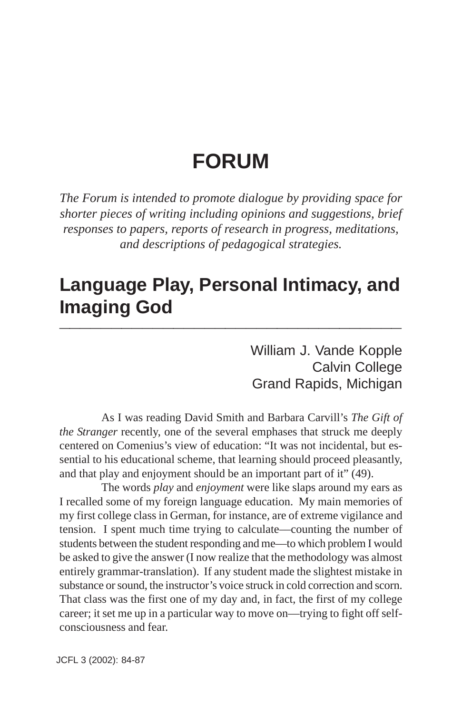## **FORUM**

*The Forum is intended to promote dialogue by providing space for shorter pieces of writing including opinions and suggestions, brief responses to papers, reports of research in progress, meditations, and descriptions of pedagogical strategies.*

## **Language Play, Personal Intimacy, and Imaging God \_\_\_\_\_\_\_\_\_\_\_\_\_\_\_\_\_\_\_\_\_\_\_\_\_\_\_\_\_\_\_\_\_**

William J. Vande Kopple Calvin College Grand Rapids, Michigan

As I was reading David Smith and Barbara Carvill's *The Gift of the Stranger* recently, one of the several emphases that struck me deeply centered on Comenius's view of education: "It was not incidental, but essential to his educational scheme, that learning should proceed pleasantly, and that play and enjoyment should be an important part of it" (49).

The words *play* and *enjoyment* were like slaps around my ears as I recalled some of my foreign language education. My main memories of my first college class in German, for instance, are of extreme vigilance and tension. I spent much time trying to calculate––counting the number of students between the student responding and me––to which problem I would be asked to give the answer (I now realize that the methodology was almost entirely grammar-translation). If any student made the slightest mistake in substance or sound, the instructor's voice struck in cold correction and scorn. That class was the first one of my day and, in fact, the first of my college career; it set me up in a particular way to move on––trying to fight off selfconsciousness and fear.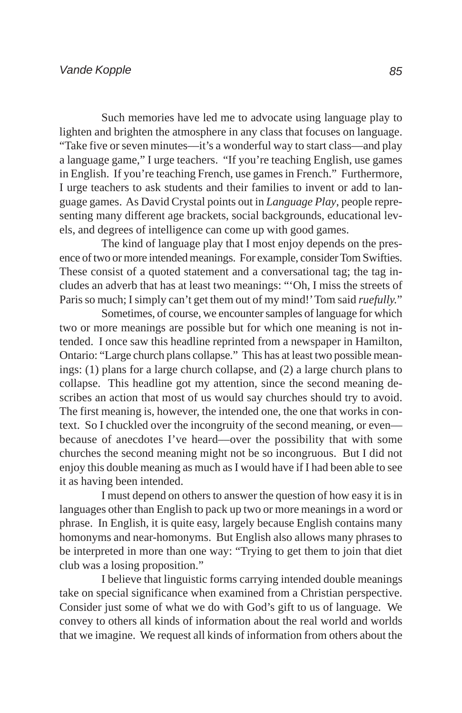Such memories have led me to advocate using language play to lighten and brighten the atmosphere in any class that focuses on language. "Take five or seven minutes––it's a wonderful way to start class––and play a language game," I urge teachers. "If you're teaching English, use games in English. If you're teaching French, use games in French." Furthermore, I urge teachers to ask students and their families to invent or add to language games. As David Crystal points out in *Language Play*, people representing many different age brackets, social backgrounds, educational levels, and degrees of intelligence can come up with good games.

The kind of language play that I most enjoy depends on the presence of two or more intended meanings. For example, consider Tom Swifties. These consist of a quoted statement and a conversational tag; the tag includes an adverb that has at least two meanings: "'Oh, I miss the streets of Paris so much; I simply can't get them out of my mind!' Tom said *ruefully.*"

Sometimes, of course, we encounter samples of language for which two or more meanings are possible but for which one meaning is not intended. I once saw this headline reprinted from a newspaper in Hamilton, Ontario: "Large church plans collapse." This has at least two possible meanings: (1) plans for a large church collapse, and (2) a large church plans to collapse. This headline got my attention, since the second meaning describes an action that most of us would say churches should try to avoid. The first meaning is, however, the intended one, the one that works in context. So I chuckled over the incongruity of the second meaning, or even–– because of anecdotes I've heard––over the possibility that with some churches the second meaning might not be so incongruous. But I did not enjoy this double meaning as much as I would have if I had been able to see it as having been intended.

I must depend on others to answer the question of how easy it is in languages other than English to pack up two or more meanings in a word or phrase. In English, it is quite easy, largely because English contains many homonyms and near-homonyms. But English also allows many phrases to be interpreted in more than one way: "Trying to get them to join that diet club was a losing proposition."

I believe that linguistic forms carrying intended double meanings take on special significance when examined from a Christian perspective. Consider just some of what we do with God's gift to us of language. We convey to others all kinds of information about the real world and worlds that we imagine. We request all kinds of information from others about the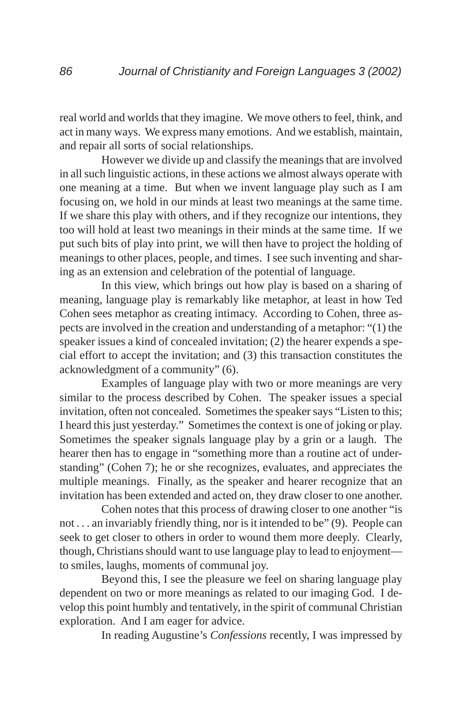real world and worlds that they imagine. We move others to feel, think, and act in many ways. We express many emotions. And we establish, maintain, and repair all sorts of social relationships.

However we divide up and classify the meanings that are involved in all such linguistic actions, in these actions we almost always operate with one meaning at a time. But when we invent language play such as I am focusing on, we hold in our minds at least two meanings at the same time. If we share this play with others, and if they recognize our intentions, they too will hold at least two meanings in their minds at the same time. If we put such bits of play into print, we will then have to project the holding of meanings to other places, people, and times. I see such inventing and sharing as an extension and celebration of the potential of language.

In this view, which brings out how play is based on a sharing of meaning, language play is remarkably like metaphor, at least in how Ted Cohen sees metaphor as creating intimacy. According to Cohen, three aspects are involved in the creation and understanding of a metaphor: "(1) the speaker issues a kind of concealed invitation; (2) the hearer expends a special effort to accept the invitation; and (3) this transaction constitutes the acknowledgment of a community" (6).

Examples of language play with two or more meanings are very similar to the process described by Cohen. The speaker issues a special invitation, often not concealed. Sometimes the speaker says "Listen to this; I heard this just yesterday." Sometimes the context is one of joking or play. Sometimes the speaker signals language play by a grin or a laugh. The hearer then has to engage in "something more than a routine act of understanding" (Cohen 7); he or she recognizes, evaluates, and appreciates the multiple meanings. Finally, as the speaker and hearer recognize that an invitation has been extended and acted on, they draw closer to one another.

Cohen notes that this process of drawing closer to one another "is not . . . an invariably friendly thing, nor is it intended to be" (9). People can seek to get closer to others in order to wound them more deeply. Clearly, though, Christians should want to use language play to lead to enjoyment to smiles, laughs, moments of communal joy.

Beyond this, I see the pleasure we feel on sharing language play dependent on two or more meanings as related to our imaging God. I develop this point humbly and tentatively, in the spirit of communal Christian exploration. And I am eager for advice.

In reading Augustine's *Confessions* recently, I was impressed by